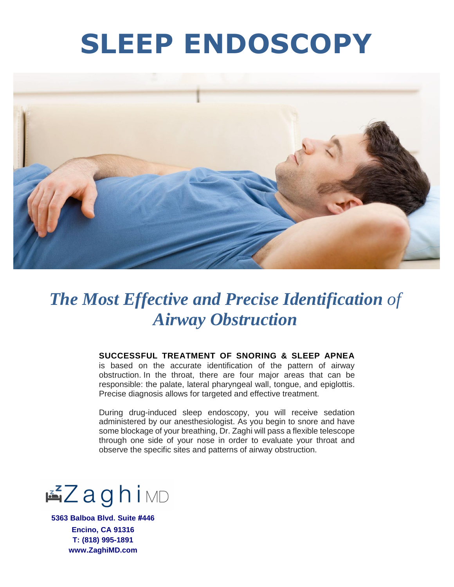## **SLEEP ENDOSCOPY**



### *The Most Effective and Precise Identification of Airway Obstruction*

#### **SUCCESSFUL TREATMENT OF SNORING & SLEEP APNEA**

is based on the accurate identification of the pattern of airway obstruction. In the throat, there are four major areas that can be responsible: the palate, lateral pharyngeal wall, tongue, and epiglottis. Precise diagnosis allows for targeted and effective treatment.

During drug-induced sleep endoscopy, you will receive sedation administered by our anesthesiologist. As you begin to snore and have some blockage of your breathing, Dr. Zaghi will pass a flexible telescope through one side of your nose in order to evaluate your throat and observe the specific sites and patterns of airway obstruction.



**5363 Balboa Blvd. Suite #446 Encino, CA 91316 T: (818) 995-1891 www.ZaghiMD.com**